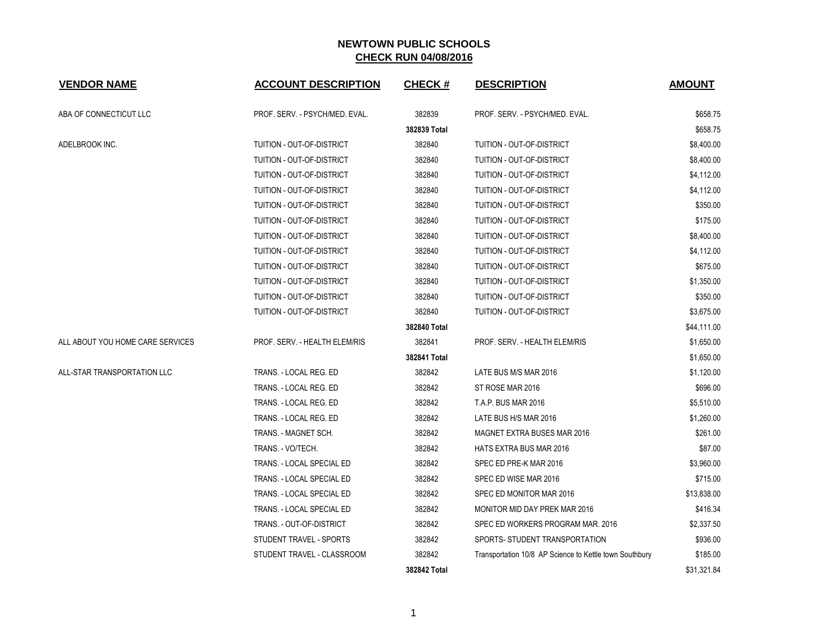| <b>VENDOR NAME</b>               | <b>ACCOUNT DESCRIPTION</b>     | <b>CHECK#</b> | <b>DESCRIPTION</b>                                      | <b>AMOUNT</b> |
|----------------------------------|--------------------------------|---------------|---------------------------------------------------------|---------------|
| ABA OF CONNECTICUT LLC           | PROF. SERV. - PSYCH/MED. EVAL. | 382839        | PROF. SERV. - PSYCH/MED. EVAL.                          | \$658.75      |
|                                  |                                | 382839 Total  |                                                         | \$658.75      |
| ADELBROOK INC.                   | TUITION - OUT-OF-DISTRICT      | 382840        | TUITION - OUT-OF-DISTRICT                               | \$8,400.00    |
|                                  | TUITION - OUT-OF-DISTRICT      | 382840        | TUITION - OUT-OF-DISTRICT                               | \$8,400.00    |
|                                  | TUITION - OUT-OF-DISTRICT      | 382840        | TUITION - OUT-OF-DISTRICT                               | \$4,112.00    |
|                                  | TUITION - OUT-OF-DISTRICT      | 382840        | TUITION - OUT-OF-DISTRICT                               | \$4,112.00    |
|                                  | TUITION - OUT-OF-DISTRICT      | 382840        | TUITION - OUT-OF-DISTRICT                               | \$350.00      |
|                                  | TUITION - OUT-OF-DISTRICT      | 382840        | TUITION - OUT-OF-DISTRICT                               | \$175.00      |
|                                  | TUITION - OUT-OF-DISTRICT      | 382840        | TUITION - OUT-OF-DISTRICT                               | \$8,400.00    |
|                                  | TUITION - OUT-OF-DISTRICT      | 382840        | TUITION - OUT-OF-DISTRICT                               | \$4,112.00    |
|                                  | TUITION - OUT-OF-DISTRICT      | 382840        | TUITION - OUT-OF-DISTRICT                               | \$675.00      |
|                                  | TUITION - OUT-OF-DISTRICT      | 382840        | TUITION - OUT-OF-DISTRICT                               | \$1,350.00    |
|                                  | TUITION - OUT-OF-DISTRICT      | 382840        | TUITION - OUT-OF-DISTRICT                               | \$350.00      |
|                                  | TUITION - OUT-OF-DISTRICT      | 382840        | TUITION - OUT-OF-DISTRICT                               | \$3,675.00    |
|                                  |                                | 382840 Total  |                                                         | \$44,111.00   |
| ALL ABOUT YOU HOME CARE SERVICES | PROF. SERV. - HEALTH ELEM/RIS  | 382841        | PROF. SERV. - HEALTH ELEM/RIS                           | \$1,650.00    |
|                                  |                                | 382841 Total  |                                                         | \$1,650.00    |
| ALL-STAR TRANSPORTATION LLC      | TRANS. - LOCAL REG. ED         | 382842        | LATE BUS M/S MAR 2016                                   | \$1,120.00    |
|                                  | TRANS. - LOCAL REG. ED         | 382842        | ST ROSE MAR 2016                                        | \$696.00      |
|                                  | TRANS. - LOCAL REG. ED         | 382842        | <b>T.A.P. BUS MAR 2016</b>                              | \$5,510.00    |
|                                  | TRANS. - LOCAL REG. ED         | 382842        | LATE BUS H/S MAR 2016                                   | \$1,260.00    |
|                                  | TRANS. - MAGNET SCH.           | 382842        | MAGNET EXTRA BUSES MAR 2016                             | \$261.00      |
|                                  | TRANS. - VO/TECH.              | 382842        | HATS EXTRA BUS MAR 2016                                 | \$87.00       |
|                                  | TRANS. - LOCAL SPECIAL ED      | 382842        | SPEC ED PRE-K MAR 2016                                  | \$3,960.00    |
|                                  | TRANS. - LOCAL SPECIAL ED      | 382842        | SPEC ED WISE MAR 2016                                   | \$715.00      |
|                                  | TRANS. - LOCAL SPECIAL ED      | 382842        | SPEC ED MONITOR MAR 2016                                | \$13,838.00   |
|                                  | TRANS. - LOCAL SPECIAL ED      | 382842        | MONITOR MID DAY PREK MAR 2016                           | \$416.34      |
|                                  | TRANS. - OUT-OF-DISTRICT       | 382842        | SPEC ED WORKERS PROGRAM MAR. 2016                       | \$2,337.50    |
|                                  | STUDENT TRAVEL - SPORTS        | 382842        | SPORTS- STUDENT TRANSPORTATION                          | \$936.00      |
|                                  | STUDENT TRAVEL - CLASSROOM     | 382842        | Transportation 10/8 AP Science to Kettle town Southbury | \$185.00      |
|                                  |                                | 382842 Total  |                                                         | \$31,321.84   |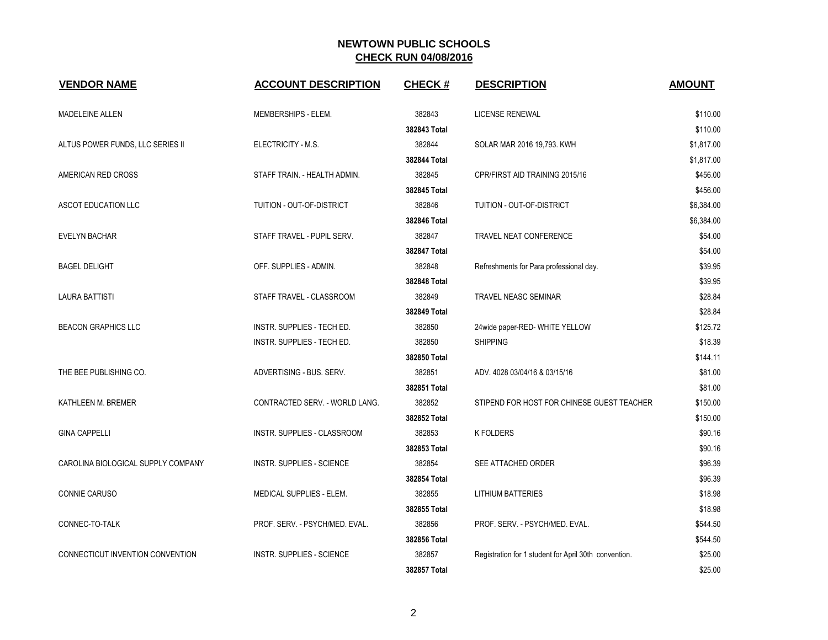| <b>VENDOR NAME</b>                 | <b>ACCOUNT DESCRIPTION</b>       | <b>CHECK#</b> | <b>DESCRIPTION</b>                                    | <b>AMOUNT</b> |
|------------------------------------|----------------------------------|---------------|-------------------------------------------------------|---------------|
| MADELEINE ALLEN                    | MEMBERSHIPS - ELEM.              | 382843        | LICENSE RENEWAL                                       | \$110.00      |
|                                    |                                  | 382843 Total  |                                                       | \$110.00      |
| ALTUS POWER FUNDS, LLC SERIES II   | ELECTRICITY - M.S.               | 382844        | SOLAR MAR 2016 19,793. KWH                            | \$1,817.00    |
|                                    |                                  | 382844 Total  |                                                       | \$1,817.00    |
| AMERICAN RED CROSS                 | STAFF TRAIN. - HEALTH ADMIN.     | 382845        | CPR/FIRST AID TRAINING 2015/16                        | \$456.00      |
|                                    |                                  | 382845 Total  |                                                       | \$456.00      |
| ASCOT EDUCATION LLC                | TUITION - OUT-OF-DISTRICT        | 382846        | TUITION - OUT-OF-DISTRICT                             | \$6,384.00    |
|                                    |                                  | 382846 Total  |                                                       | \$6,384.00    |
| <b>EVELYN BACHAR</b>               | STAFF TRAVEL - PUPIL SERV.       | 382847        | TRAVEL NEAT CONFERENCE                                | \$54.00       |
|                                    |                                  | 382847 Total  |                                                       | \$54.00       |
| <b>BAGEL DELIGHT</b>               | OFF. SUPPLIES - ADMIN.           | 382848        | Refreshments for Para professional day.               | \$39.95       |
|                                    |                                  | 382848 Total  |                                                       | \$39.95       |
| <b>LAURA BATTISTI</b>              | STAFF TRAVEL - CLASSROOM         | 382849        | TRAVEL NEASC SEMINAR                                  | \$28.84       |
|                                    |                                  | 382849 Total  |                                                       | \$28.84       |
| <b>BEACON GRAPHICS LLC</b>         | INSTR. SUPPLIES - TECH ED.       | 382850        | 24wide paper-RED- WHITE YELLOW                        | \$125.72      |
|                                    | INSTR. SUPPLIES - TECH ED.       | 382850        | <b>SHIPPING</b>                                       | \$18.39       |
|                                    |                                  | 382850 Total  |                                                       | \$144.11      |
| THE BEE PUBLISHING CO.             | ADVERTISING - BUS. SERV.         | 382851        | ADV. 4028 03/04/16 & 03/15/16                         | \$81.00       |
|                                    |                                  | 382851 Total  |                                                       | \$81.00       |
| KATHLEEN M. BREMER                 | CONTRACTED SERV. - WORLD LANG.   | 382852        | STIPEND FOR HOST FOR CHINESE GUEST TEACHER            | \$150.00      |
|                                    |                                  | 382852 Total  |                                                       | \$150.00      |
| <b>GINA CAPPELLI</b>               | INSTR. SUPPLIES - CLASSROOM      | 382853        | <b>K FOLDERS</b>                                      | \$90.16       |
|                                    |                                  | 382853 Total  |                                                       | \$90.16       |
| CAROLINA BIOLOGICAL SUPPLY COMPANY | INSTR. SUPPLIES - SCIENCE        | 382854        | SEE ATTACHED ORDER                                    | \$96.39       |
|                                    |                                  | 382854 Total  |                                                       | \$96.39       |
| CONNIE CARUSO                      | MEDICAL SUPPLIES - ELEM.         | 382855        | <b>LITHIUM BATTERIES</b>                              | \$18.98       |
|                                    |                                  | 382855 Total  |                                                       | \$18.98       |
| CONNEC-TO-TALK                     | PROF. SERV. - PSYCH/MED. EVAL.   | 382856        | PROF. SERV. - PSYCH/MED. EVAL.                        | \$544.50      |
|                                    |                                  | 382856 Total  |                                                       | \$544.50      |
| CONNECTICUT INVENTION CONVENTION   | <b>INSTR. SUPPLIES - SCIENCE</b> | 382857        | Registration for 1 student for April 30th convention. | \$25.00       |
|                                    |                                  | 382857 Total  |                                                       | \$25.00       |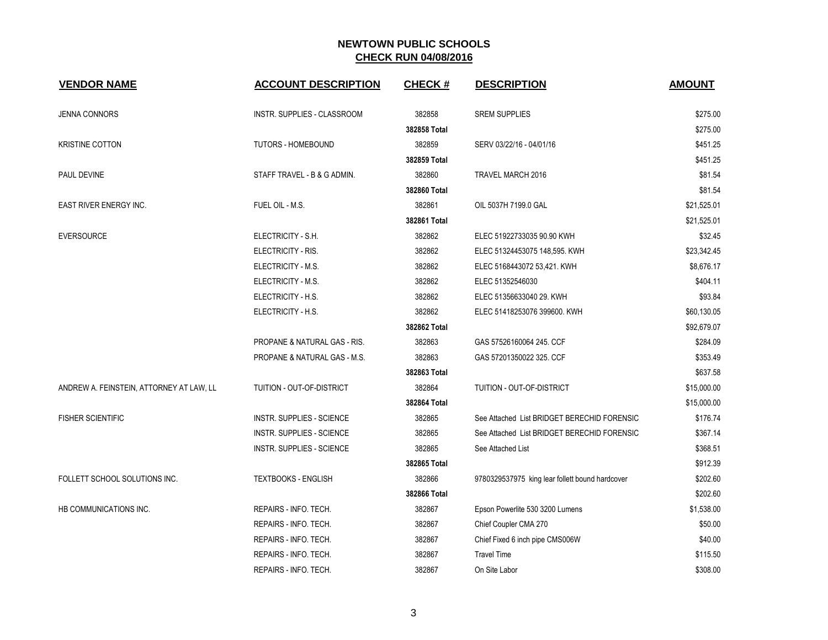| <b>VENDOR NAME</b>                       | <b>ACCOUNT DESCRIPTION</b>       | <b>CHECK#</b> | <b>DESCRIPTION</b>                              | <b>AMOUNT</b> |
|------------------------------------------|----------------------------------|---------------|-------------------------------------------------|---------------|
| JENNA CONNORS                            | INSTR. SUPPLIES - CLASSROOM      | 382858        | <b>SREM SUPPLIES</b>                            | \$275.00      |
|                                          |                                  | 382858 Total  |                                                 | \$275.00      |
| <b>KRISTINE COTTON</b>                   | <b>TUTORS - HOMEBOUND</b>        | 382859        | SERV 03/22/16 - 04/01/16                        | \$451.25      |
|                                          |                                  | 382859 Total  |                                                 | \$451.25      |
| PAUL DEVINE                              | STAFF TRAVEL - B & G ADMIN.      | 382860        | TRAVEL MARCH 2016                               | \$81.54       |
|                                          |                                  | 382860 Total  |                                                 | \$81.54       |
| <b>EAST RIVER ENERGY INC.</b>            | FUEL OIL - M.S.                  | 382861        | OIL 5037H 7199.0 GAL                            | \$21,525.01   |
|                                          |                                  | 382861 Total  |                                                 | \$21,525.01   |
| <b>EVERSOURCE</b>                        | ELECTRICITY - S.H.               | 382862        | ELEC 51922733035 90.90 KWH                      | \$32.45       |
|                                          | ELECTRICITY - RIS.               | 382862        | ELEC 51324453075 148,595. KWH                   | \$23,342.45   |
|                                          | ELECTRICITY - M.S.               | 382862        | ELEC 5168443072 53,421. KWH                     | \$8,676.17    |
|                                          | ELECTRICITY - M.S.               | 382862        | ELEC 51352546030                                | \$404.11      |
|                                          | ELECTRICITY - H.S.               | 382862        | ELEC 51356633040 29. KWH                        | \$93.84       |
|                                          | ELECTRICITY - H.S.               | 382862        | ELEC 51418253076 399600. KWH                    | \$60,130.05   |
|                                          |                                  | 382862 Total  |                                                 | \$92,679.07   |
|                                          | PROPANE & NATURAL GAS - RIS.     | 382863        | GAS 57526160064 245. CCF                        | \$284.09      |
|                                          | PROPANE & NATURAL GAS - M.S.     | 382863        | GAS 57201350022 325. CCF                        | \$353.49      |
|                                          |                                  | 382863 Total  |                                                 | \$637.58      |
| ANDREW A. FEINSTEIN, ATTORNEY AT LAW, LL | TUITION - OUT-OF-DISTRICT        | 382864        | TUITION - OUT-OF-DISTRICT                       | \$15,000.00   |
|                                          |                                  | 382864 Total  |                                                 | \$15,000.00   |
| <b>FISHER SCIENTIFIC</b>                 | <b>INSTR. SUPPLIES - SCIENCE</b> | 382865        | See Attached List BRIDGET BERECHID FORENSIC     | \$176.74      |
|                                          | <b>INSTR. SUPPLIES - SCIENCE</b> | 382865        | See Attached List BRIDGET BERECHID FORENSIC     | \$367.14      |
|                                          | <b>INSTR. SUPPLIES - SCIENCE</b> | 382865        | See Attached List                               | \$368.51      |
|                                          |                                  | 382865 Total  |                                                 | \$912.39      |
| FOLLETT SCHOOL SOLUTIONS INC.            | <b>TEXTBOOKS - ENGLISH</b>       | 382866        | 9780329537975 king lear follett bound hardcover | \$202.60      |
|                                          |                                  | 382866 Total  |                                                 | \$202.60      |
| HB COMMUNICATIONS INC.                   | REPAIRS - INFO. TECH.            | 382867        | Epson Powerlite 530 3200 Lumens                 | \$1,538.00    |
|                                          | REPAIRS - INFO. TECH.            | 382867        | Chief Coupler CMA 270                           | \$50.00       |
|                                          | REPAIRS - INFO. TECH.            | 382867        | Chief Fixed 6 inch pipe CMS006W                 | \$40.00       |
|                                          | REPAIRS - INFO. TECH.            | 382867        | <b>Travel Time</b>                              | \$115.50      |
|                                          | REPAIRS - INFO. TECH.            | 382867        | On Site Labor                                   | \$308.00      |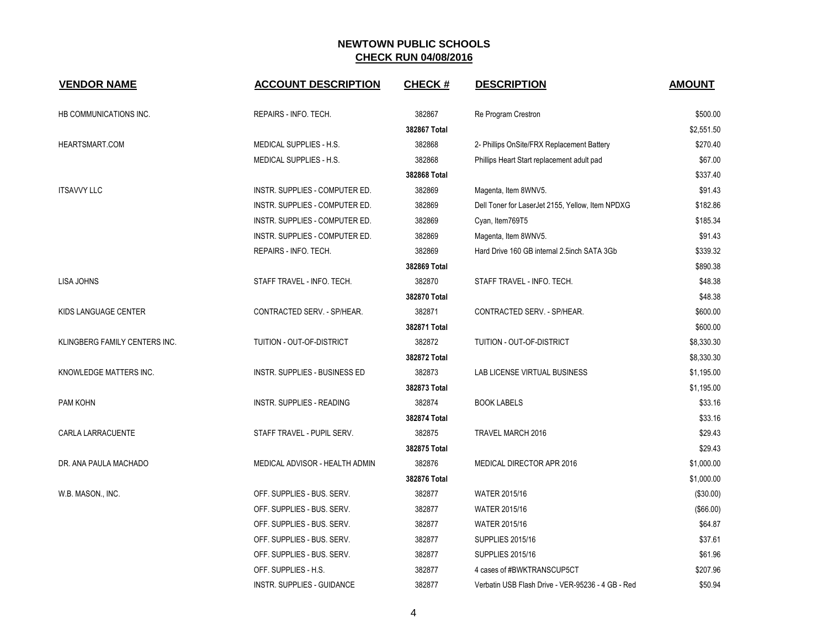| <b>VENDOR NAME</b>            | <b>ACCOUNT DESCRIPTION</b>     | <b>CHECK#</b> | <b>DESCRIPTION</b>                                | <b>AMOUNT</b> |
|-------------------------------|--------------------------------|---------------|---------------------------------------------------|---------------|
| HB COMMUNICATIONS INC.        | REPAIRS - INFO. TECH.          | 382867        | Re Program Crestron                               | \$500.00      |
|                               |                                | 382867 Total  |                                                   | \$2,551.50    |
| HEARTSMART.COM                | MEDICAL SUPPLIES - H.S.        | 382868        | 2- Phillips OnSite/FRX Replacement Battery        | \$270.40      |
|                               | MEDICAL SUPPLIES - H.S.        | 382868        | Phillips Heart Start replacement adult pad        | \$67.00       |
|                               |                                | 382868 Total  |                                                   | \$337.40      |
| <b>ITSAVVY LLC</b>            | INSTR. SUPPLIES - COMPUTER ED. | 382869        | Magenta, Item 8WNV5.                              | \$91.43       |
|                               | INSTR. SUPPLIES - COMPUTER ED. | 382869        | Dell Toner for LaserJet 2155, Yellow, Item NPDXG  | \$182.86      |
|                               | INSTR. SUPPLIES - COMPUTER ED. | 382869        | Cyan, Item769T5                                   | \$185.34      |
|                               | INSTR. SUPPLIES - COMPUTER ED. | 382869        | Magenta, Item 8WNV5.                              | \$91.43       |
|                               | REPAIRS - INFO. TECH.          | 382869        | Hard Drive 160 GB internal 2.5inch SATA 3Gb       | \$339.32      |
|                               |                                | 382869 Total  |                                                   | \$890.38      |
| <b>LISA JOHNS</b>             | STAFF TRAVEL - INFO. TECH.     | 382870        | STAFF TRAVEL - INFO. TECH.                        | \$48.38       |
|                               |                                | 382870 Total  |                                                   | \$48.38       |
| KIDS LANGUAGE CENTER          | CONTRACTED SERV. - SP/HEAR.    | 382871        | CONTRACTED SERV. - SP/HEAR.                       | \$600.00      |
|                               |                                | 382871 Total  |                                                   | \$600.00      |
| KLINGBERG FAMILY CENTERS INC. | TUITION - OUT-OF-DISTRICT      | 382872        | TUITION - OUT-OF-DISTRICT                         | \$8,330.30    |
|                               |                                | 382872 Total  |                                                   | \$8,330.30    |
| KNOWLEDGE MATTERS INC.        | INSTR. SUPPLIES - BUSINESS ED  | 382873        | LAB LICENSE VIRTUAL BUSINESS                      | \$1,195.00    |
|                               |                                | 382873 Total  |                                                   | \$1,195.00    |
| PAM KOHN                      | INSTR. SUPPLIES - READING      | 382874        | <b>BOOK LABELS</b>                                | \$33.16       |
|                               |                                | 382874 Total  |                                                   | \$33.16       |
| CARLA LARRACUENTE             | STAFF TRAVEL - PUPIL SERV.     | 382875        | <b>TRAVEL MARCH 2016</b>                          | \$29.43       |
|                               |                                | 382875 Total  |                                                   | \$29.43       |
| DR. ANA PAULA MACHADO         | MEDICAL ADVISOR - HEALTH ADMIN | 382876        | MEDICAL DIRECTOR APR 2016                         | \$1,000.00    |
|                               |                                | 382876 Total  |                                                   | \$1,000.00    |
| W.B. MASON., INC.             | OFF. SUPPLIES - BUS. SERV.     | 382877        | WATER 2015/16                                     | (\$30.00)     |
|                               | OFF. SUPPLIES - BUS. SERV.     | 382877        | WATER 2015/16                                     | (\$66.00)     |
|                               | OFF. SUPPLIES - BUS. SERV.     | 382877        | <b>WATER 2015/16</b>                              | \$64.87       |
|                               | OFF. SUPPLIES - BUS. SERV.     | 382877        | <b>SUPPLIES 2015/16</b>                           | \$37.61       |
|                               | OFF. SUPPLIES - BUS. SERV.     | 382877        | <b>SUPPLIES 2015/16</b>                           | \$61.96       |
|                               | OFF. SUPPLIES - H.S.           | 382877        | 4 cases of #BWKTRANSCUP5CT                        | \$207.96      |
|                               | INSTR. SUPPLIES - GUIDANCE     | 382877        | Verbatin USB Flash Drive - VER-95236 - 4 GB - Red | \$50.94       |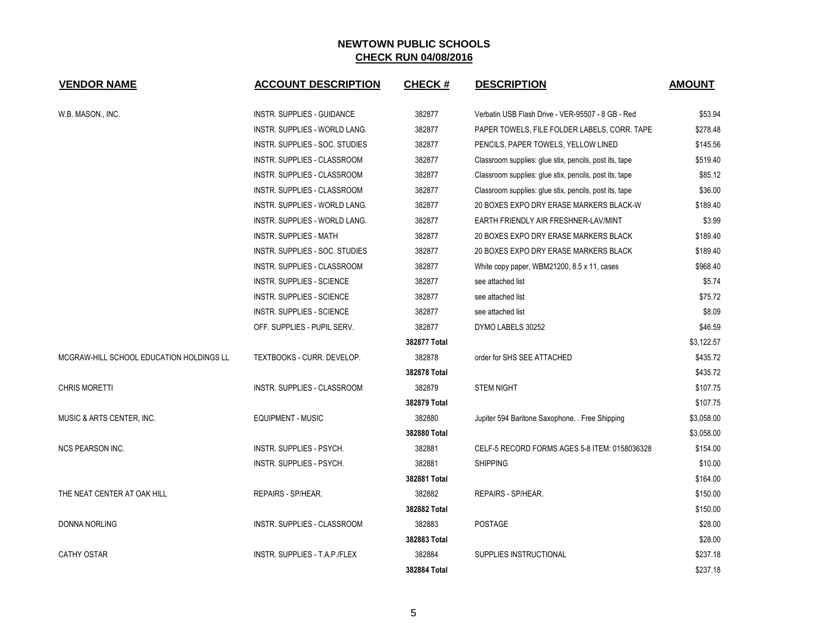| <b>VENDOR NAME</b>                       | <b>ACCOUNT DESCRIPTION</b>         | <b>CHECK#</b> | <b>DESCRIPTION</b>                                     | <b>AMOUNT</b> |
|------------------------------------------|------------------------------------|---------------|--------------------------------------------------------|---------------|
|                                          |                                    |               |                                                        |               |
| W.B. MASON., INC.                        | INSTR. SUPPLIES - GUIDANCE         | 382877        | Verbatin USB Flash Drive - VER-95507 - 8 GB - Red      | \$53.94       |
|                                          | INSTR. SUPPLIES - WORLD LANG.      | 382877        | PAPER TOWELS, FILE FOLDER LABELS, CORR. TAPE           | \$278.48      |
|                                          | INSTR. SUPPLIES - SOC. STUDIES     | 382877        | PENCILS, PAPER TOWELS, YELLOW LINED                    | \$145.56      |
|                                          | <b>INSTR. SUPPLIES - CLASSROOM</b> | 382877        | Classroom supplies: glue stix, pencils, post its, tape | \$519.40      |
|                                          | <b>INSTR. SUPPLIES - CLASSROOM</b> | 382877        | Classroom supplies: glue stix, pencils, post its, tape | \$85.12       |
|                                          | INSTR. SUPPLIES - CLASSROOM        | 382877        | Classroom supplies: glue stix, pencils, post its, tape | \$36.00       |
|                                          | INSTR. SUPPLIES - WORLD LANG.      | 382877        | 20 BOXES EXPO DRY ERASE MARKERS BLACK-W                | \$189.40      |
|                                          | INSTR. SUPPLIES - WORLD LANG.      | 382877        | EARTH FRIENDLY AIR FRESHNER-LAV/MINT                   | \$3.99        |
|                                          | <b>INSTR. SUPPLIES - MATH</b>      | 382877        | 20 BOXES EXPO DRY ERASE MARKERS BLACK                  | \$189.40      |
|                                          | INSTR. SUPPLIES - SOC. STUDIES     | 382877        | 20 BOXES EXPO DRY ERASE MARKERS BLACK                  | \$189.40      |
|                                          | INSTR. SUPPLIES - CLASSROOM        | 382877        | White copy paper, WBM21200, 8.5 x 11, cases            | \$968.40      |
|                                          | <b>INSTR. SUPPLIES - SCIENCE</b>   | 382877        | see attached list                                      | \$5.74        |
|                                          | <b>INSTR. SUPPLIES - SCIENCE</b>   | 382877        | see attached list                                      | \$75.72       |
|                                          | <b>INSTR. SUPPLIES - SCIENCE</b>   | 382877        | see attached list                                      | \$8.09        |
|                                          | OFF. SUPPLIES - PUPIL SERV.        | 382877        | DYMO LABELS 30252                                      | \$46.59       |
|                                          |                                    | 382877 Total  |                                                        | \$3,122.57    |
| MCGRAW-HILL SCHOOL EDUCATION HOLDINGS LL | TEXTBOOKS - CURR. DEVELOP.         | 382878        | order for SHS SEE ATTACHED                             | \$435.72      |
|                                          |                                    | 382878 Total  |                                                        | \$435.72      |
| <b>CHRIS MORETTI</b>                     | INSTR. SUPPLIES - CLASSROOM        | 382879        | <b>STEM NIGHT</b>                                      | \$107.75      |
|                                          |                                    | 382879 Total  |                                                        | \$107.75      |
| MUSIC & ARTS CENTER, INC.                | EQUIPMENT - MUSIC                  | 382880        | Jupiter 594 Baritone Saxophone. . Free Shipping        | \$3,058.00    |
|                                          |                                    | 382880 Total  |                                                        | \$3,058.00    |
| <b>NCS PEARSON INC.</b>                  | INSTR. SUPPLIES - PSYCH.           | 382881        | CELF-5 RECORD FORMS AGES 5-8 ITEM: 0158036328          | \$154.00      |
|                                          | INSTR. SUPPLIES - PSYCH.           | 382881        | <b>SHIPPING</b>                                        | \$10.00       |
|                                          |                                    | 382881 Total  |                                                        | \$164.00      |
| THE NEAT CENTER AT OAK HILL              | REPAIRS - SP/HEAR.                 | 382882        | REPAIRS - SP/HEAR.                                     | \$150.00      |
|                                          |                                    | 382882 Total  |                                                        | \$150.00      |
| DONNA NORLING                            | INSTR. SUPPLIES - CLASSROOM        | 382883        | <b>POSTAGE</b>                                         | \$28.00       |
|                                          |                                    | 382883 Total  |                                                        | \$28.00       |
| <b>CATHY OSTAR</b>                       | INSTR. SUPPLIES - T.A.P./FLEX      | 382884        | SUPPLIES INSTRUCTIONAL                                 | \$237.18      |
|                                          |                                    | 382884 Total  |                                                        | \$237.18      |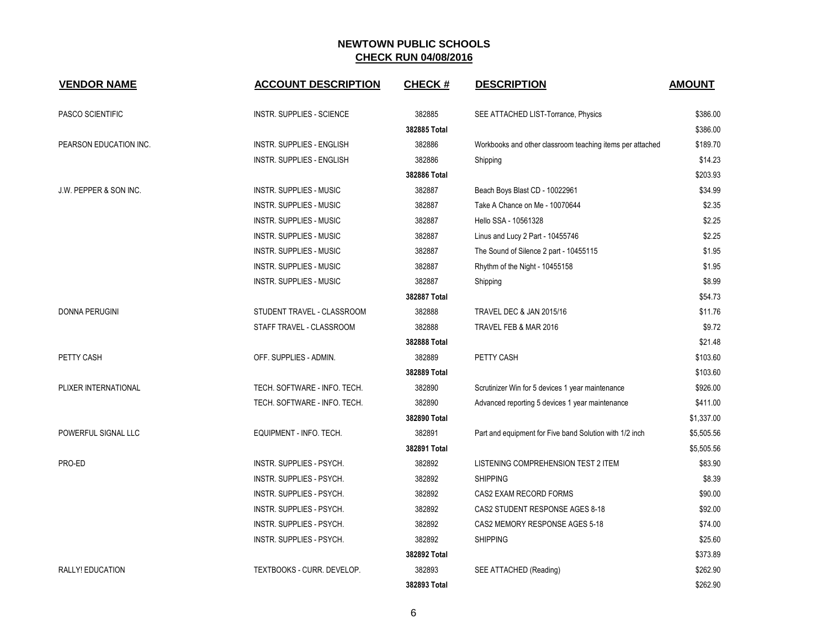| <b>VENDOR NAME</b>                | <b>ACCOUNT DESCRIPTION</b>       | <b>CHECK#</b> | <b>DESCRIPTION</b>                                        | <b>AMOUNT</b> |
|-----------------------------------|----------------------------------|---------------|-----------------------------------------------------------|---------------|
| PASCO SCIENTIFIC                  | <b>INSTR. SUPPLIES - SCIENCE</b> | 382885        | SEE ATTACHED LIST-Torrance, Physics                       | \$386.00      |
|                                   |                                  | 382885 Total  |                                                           | \$386.00      |
| PEARSON EDUCATION INC.            | <b>INSTR. SUPPLIES - ENGLISH</b> | 382886        | Workbooks and other classroom teaching items per attached | \$189.70      |
|                                   | <b>INSTR. SUPPLIES - ENGLISH</b> | 382886        | Shipping                                                  | \$14.23       |
|                                   |                                  | 382886 Total  |                                                           | \$203.93      |
| <b>J.W. PEPPER &amp; SON INC.</b> | <b>INSTR. SUPPLIES - MUSIC</b>   | 382887        | Beach Boys Blast CD - 10022961                            | \$34.99       |
|                                   | <b>INSTR. SUPPLIES - MUSIC</b>   | 382887        | Take A Chance on Me - 10070644                            | \$2.35        |
|                                   | <b>INSTR. SUPPLIES - MUSIC</b>   | 382887        | Hello SSA - 10561328                                      | \$2.25        |
|                                   | <b>INSTR. SUPPLIES - MUSIC</b>   | 382887        | Linus and Lucy 2 Part - 10455746                          | \$2.25        |
|                                   | <b>INSTR. SUPPLIES - MUSIC</b>   | 382887        | The Sound of Silence 2 part - 10455115                    | \$1.95        |
|                                   | <b>INSTR. SUPPLIES - MUSIC</b>   | 382887        | Rhythm of the Night - 10455158                            | \$1.95        |
|                                   | <b>INSTR. SUPPLIES - MUSIC</b>   | 382887        | Shipping                                                  | \$8.99        |
|                                   |                                  | 382887 Total  |                                                           | \$54.73       |
| <b>DONNA PERUGINI</b>             | STUDENT TRAVEL - CLASSROOM       | 382888        | TRAVEL DEC & JAN 2015/16                                  | \$11.76       |
|                                   | STAFF TRAVEL - CLASSROOM         | 382888        | TRAVEL FEB & MAR 2016                                     | \$9.72        |
|                                   |                                  | 382888 Total  |                                                           | \$21.48       |
| <b>PETTY CASH</b>                 | OFF. SUPPLIES - ADMIN.           | 382889        | PETTY CASH                                                | \$103.60      |
|                                   |                                  | 382889 Total  |                                                           | \$103.60      |
| PLIXER INTERNATIONAL              | TECH. SOFTWARE - INFO. TECH.     | 382890        | Scrutinizer Win for 5 devices 1 year maintenance          | \$926.00      |
|                                   | TECH. SOFTWARE - INFO. TECH.     | 382890        | Advanced reporting 5 devices 1 year maintenance           | \$411.00      |
|                                   |                                  | 382890 Total  |                                                           | \$1,337.00    |
| POWERFUL SIGNAL LLC               | EQUIPMENT - INFO. TECH.          | 382891        | Part and equipment for Five band Solution with 1/2 inch   | \$5,505.56    |
|                                   |                                  | 382891 Total  |                                                           | \$5,505.56    |
| PRO-ED                            | <b>INSTR. SUPPLIES - PSYCH.</b>  | 382892        | LISTENING COMPREHENSION TEST 2 ITEM                       | \$83.90       |
|                                   | INSTR. SUPPLIES - PSYCH.         | 382892        | <b>SHIPPING</b>                                           | \$8.39        |
|                                   | INSTR. SUPPLIES - PSYCH.         | 382892        | CAS2 EXAM RECORD FORMS                                    | \$90.00       |
|                                   | INSTR. SUPPLIES - PSYCH.         | 382892        | CAS2 STUDENT RESPONSE AGES 8-18                           | \$92.00       |
|                                   | INSTR. SUPPLIES - PSYCH.         | 382892        | CAS2 MEMORY RESPONSE AGES 5-18                            | \$74.00       |
|                                   | INSTR. SUPPLIES - PSYCH.         | 382892        | <b>SHIPPING</b>                                           | \$25.60       |
|                                   |                                  | 382892 Total  |                                                           | \$373.89      |
| RALLY! EDUCATION                  | TEXTBOOKS - CURR. DEVELOP.       | 382893        | SEE ATTACHED (Reading)                                    | \$262.90      |
|                                   |                                  | 382893 Total  |                                                           | \$262.90      |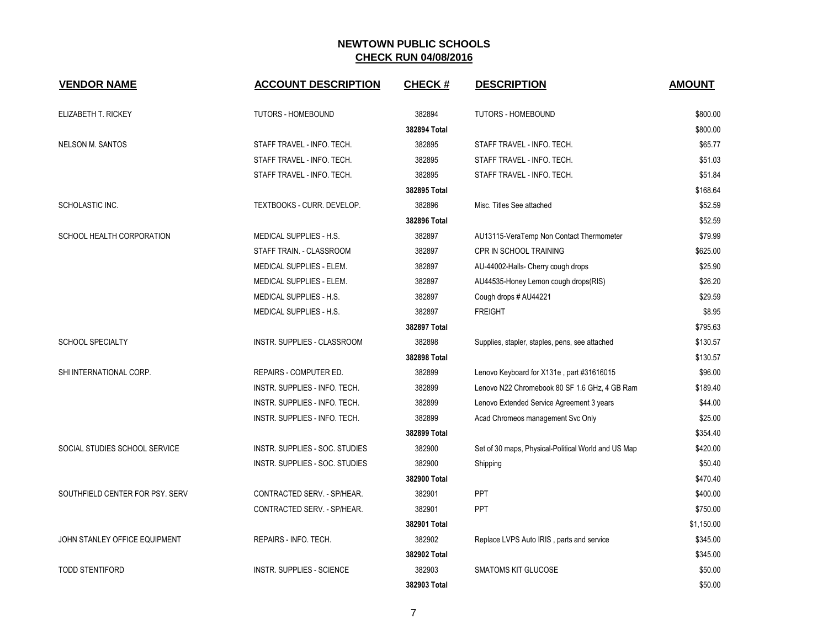| <b>VENDOR NAME</b>              | <b>ACCOUNT DESCRIPTION</b>        | <b>CHECK#</b> | <b>DESCRIPTION</b>                                  | <b>AMOUNT</b> |
|---------------------------------|-----------------------------------|---------------|-----------------------------------------------------|---------------|
| ELIZABETH T. RICKEY             | <b>TUTORS - HOMEBOUND</b>         | 382894        | <b>TUTORS - HOMEBOUND</b>                           | \$800.00      |
|                                 |                                   | 382894 Total  |                                                     | \$800.00      |
| <b>NELSON M. SANTOS</b>         | STAFF TRAVEL - INFO. TECH.        | 382895        | STAFF TRAVEL - INFO. TECH.                          | \$65.77       |
|                                 | STAFF TRAVEL - INFO. TECH.        | 382895        | STAFF TRAVEL - INFO. TECH.                          | \$51.03       |
|                                 | STAFF TRAVEL - INFO. TECH.        | 382895        | STAFF TRAVEL - INFO. TECH.                          | \$51.84       |
|                                 |                                   | 382895 Total  |                                                     | \$168.64      |
| SCHOLASTIC INC.                 | <b>TEXTBOOKS - CURR. DEVELOP.</b> | 382896        | Misc. Titles See attached                           | \$52.59       |
|                                 |                                   | 382896 Total  |                                                     | \$52.59       |
| SCHOOL HEALTH CORPORATION       | <b>MEDICAL SUPPLIES - H.S.</b>    | 382897        | AU13115-VeraTemp Non Contact Thermometer            | \$79.99       |
|                                 | STAFF TRAIN. - CLASSROOM          | 382897        | <b>CPR IN SCHOOL TRAINING</b>                       | \$625.00      |
|                                 | MEDICAL SUPPLIES - ELEM.          | 382897        | AU-44002-Halls- Cherry cough drops                  | \$25.90       |
|                                 | MEDICAL SUPPLIES - ELEM.          | 382897        | AU44535-Honey Lemon cough drops(RIS)                | \$26.20       |
|                                 | MEDICAL SUPPLIES - H.S.           | 382897        | Cough drops # AU44221                               | \$29.59       |
|                                 | MEDICAL SUPPLIES - H.S.           | 382897        | <b>FREIGHT</b>                                      | \$8.95        |
|                                 |                                   | 382897 Total  |                                                     | \$795.63      |
| <b>SCHOOL SPECIALTY</b>         | INSTR. SUPPLIES - CLASSROOM       | 382898        | Supplies, stapler, staples, pens, see attached      | \$130.57      |
|                                 |                                   | 382898 Total  |                                                     | \$130.57      |
| SHI INTERNATIONAL CORP.         | <b>REPAIRS - COMPUTER ED.</b>     | 382899        | Lenovo Keyboard for X131e, part #31616015           | \$96.00       |
|                                 | INSTR. SUPPLIES - INFO. TECH.     | 382899        | Lenovo N22 Chromebook 80 SF 1.6 GHz, 4 GB Ram       | \$189.40      |
|                                 | INSTR. SUPPLIES - INFO. TECH.     | 382899        | Lenovo Extended Service Agreement 3 years           | \$44.00       |
|                                 | INSTR. SUPPLIES - INFO. TECH.     | 382899        | Acad Chromeos management Svc Only                   | \$25.00       |
|                                 |                                   | 382899 Total  |                                                     | \$354.40      |
| SOCIAL STUDIES SCHOOL SERVICE   | INSTR. SUPPLIES - SOC. STUDIES    | 382900        | Set of 30 maps, Physical-Political World and US Map | \$420.00      |
|                                 | INSTR. SUPPLIES - SOC. STUDIES    | 382900        | Shipping                                            | \$50.40       |
|                                 |                                   | 382900 Total  |                                                     | \$470.40      |
| SOUTHFIELD CENTER FOR PSY. SERV | CONTRACTED SERV. - SP/HEAR.       | 382901        | PPT                                                 | \$400.00      |
|                                 | CONTRACTED SERV. - SP/HEAR.       | 382901        | PPT                                                 | \$750.00      |
|                                 |                                   | 382901 Total  |                                                     | \$1,150.00    |
| JOHN STANLEY OFFICE EQUIPMENT   | REPAIRS - INFO. TECH.             | 382902        | Replace LVPS Auto IRIS, parts and service           | \$345.00      |
|                                 |                                   | 382902 Total  |                                                     | \$345.00      |
| <b>TODD STENTIFORD</b>          | <b>INSTR. SUPPLIES - SCIENCE</b>  | 382903        | <b>SMATOMS KIT GLUCOSE</b>                          | \$50.00       |
|                                 |                                   | 382903 Total  |                                                     | \$50.00       |